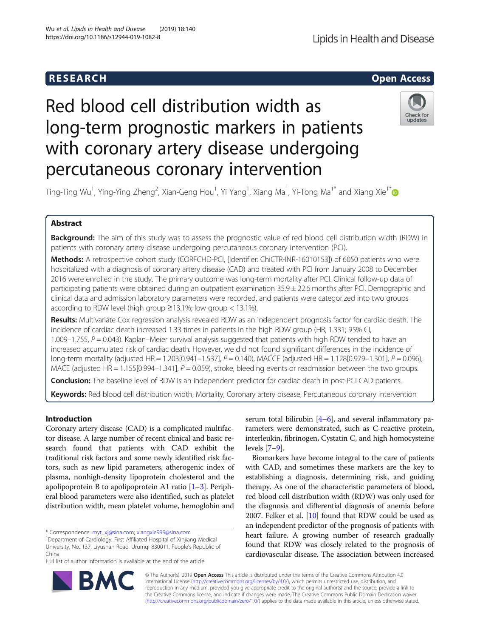

# Red blood cell distribution width as long-term prognostic markers in patients with coronary artery disease undergoing percutaneous coronary intervention



Ting-Ting Wu<sup>1</sup>, Ying-Ying Zheng<sup>2</sup>, Xian-Geng Hou<sup>1</sup>, Yi Yang<sup>1</sup>, Xiang Ma<sup>1</sup>, Yi-Tong Ma<sup>1\*</sup> and Xiang Xie<sup>1\*</sup>

# Abstract

Background: The aim of this study was to assess the prognostic value of red blood cell distribution width (RDW) in patients with coronary artery disease undergoing percutaneous coronary intervention (PCI).

Methods: A retrospective cohort study (CORFCHD-PCI, [Identifier: ChiCTR-INR-16010153]) of 6050 patients who were hospitalized with a diagnosis of coronary artery disease (CAD) and treated with PCI from January 2008 to December 2016 were enrolled in the study. The primary outcome was long-term mortality after PCI. Clinical follow-up data of participating patients were obtained during an outpatient examination 35.9 ± 22.6 months after PCI. Demographic and clinical data and admission laboratory parameters were recorded, and patients were categorized into two groups according to RDW level (high group ≥13.1%; low group < 13.1%).

Results: Multivariate Cox regression analysis revealed RDW as an independent prognosis factor for cardiac death. The incidence of cardiac death increased 1.33 times in patients in the high RDW group (HR, 1.331; 95% CI, 1.009–1.755,  $P = 0.043$ ). Kaplan–Meier survival analysis suggested that patients with high RDW tended to have an increased accumulated risk of cardiac death. However, we did not found significant differences in the incidence of long-term mortality (adjusted HR = 1.203[0.941–1.537],  $P = 0.140$ ), MACCE (adjusted HR = 1.128[0.979–1.301],  $P = 0.096$ ), MACE (adjusted  $HR = 1.155[0.994-1.341]$ ,  $P = 0.059$ ), stroke, bleeding events or readmission between the two groups.

**Conclusion:** The baseline level of RDW is an independent predictor for cardiac death in post-PCI CAD patients.

Keywords: Red blood cell distribution width, Mortality, Coronary artery disease, Percutaneous coronary intervention

# Introduction

Coronary artery disease (CAD) is a complicated multifactor disease. A large number of recent clinical and basic research found that patients with CAD exhibit the traditional risk factors and some newly identified risk factors, such as new lipid parameters, atherogenic index of plasma, nonhigh-density lipoprotein cholesterol and the apolipoprotein B to apolipoprotein A1 ratio  $[1-3]$  $[1-3]$  $[1-3]$ . Peripheral blood parameters were also identified, such as platelet distribution width, mean platelet volume, hemoglobin and

\* Correspondence: [myt\\_xj@sina.com](mailto:myt_xj@sina.com); [xiangxie999@sina.com](mailto:xiangxie999@sina.com) <sup>1</sup>

Full list of author information is available at the end of the article

serum total bilirubin [\[4](#page-6-0)–[6\]](#page-6-0), and several inflammatory parameters were demonstrated, such as C-reactive protein, interleukin, fibrinogen, Cystatin C, and high homocysteine levels [\[7](#page-6-0)–[9\]](#page-6-0).

Biomarkers have become integral to the care of patients with CAD, and sometimes these markers are the key to establishing a diagnosis, determining risk, and guiding therapy. As one of the characteristic parameters of blood, red blood cell distribution width (RDW) was only used for the diagnosis and differential diagnosis of anemia before 2007. Felker et al. [\[10\]](#page-6-0) found that RDW could be used as an independent predictor of the prognosis of patients with heart failure. A growing number of research gradually found that RDW was closely related to the prognosis of cardiovascular disease. The association between increased



© The Author(s). 2019 Open Access This article is distributed under the terms of the Creative Commons Attribution 4.0 International License [\(http://creativecommons.org/licenses/by/4.0/](http://creativecommons.org/licenses/by/4.0/)), which permits unrestricted use, distribution, and reproduction in any medium, provided you give appropriate credit to the original author(s) and the source, provide a link to the Creative Commons license, and indicate if changes were made. The Creative Commons Public Domain Dedication waiver [\(http://creativecommons.org/publicdomain/zero/1.0/](http://creativecommons.org/publicdomain/zero/1.0/)) applies to the data made available in this article, unless otherwise stated.

<sup>&</sup>lt;sup>1</sup>Department of Cardiology, First Affiliated Hospital of Xinjiang Medical University, No. 137, Liyushan Road, Urumqi 830011, People's Republic of China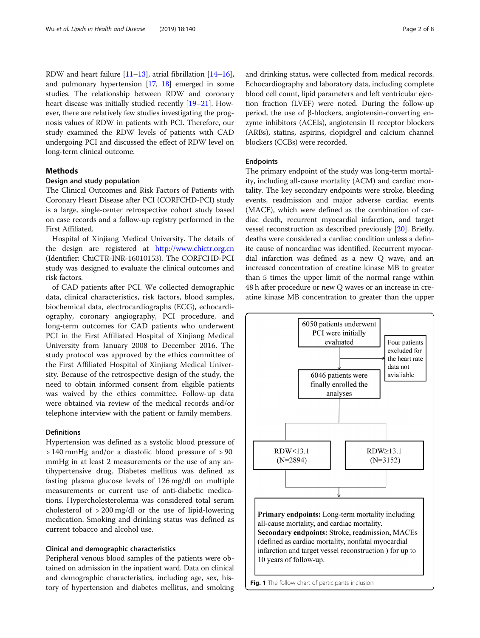<span id="page-1-0"></span>RDW and heart failure [[11](#page-6-0)–[13\]](#page-6-0), atrial fibrillation [\[14](#page-6-0)–[16](#page-7-0)], and pulmonary hypertension [\[17,](#page-7-0) [18\]](#page-7-0) emerged in some studies. The relationship between RDW and coronary heart disease was initially studied recently [\[19](#page-7-0)–[21](#page-7-0)]. However, there are relatively few studies investigating the prognosis values of RDW in patients with PCI. Therefore, our study examined the RDW levels of patients with CAD undergoing PCI and discussed the effect of RDW level on long-term clinical outcome.

# Methods

# Design and study population

The Clinical Outcomes and Risk Factors of Patients with Coronary Heart Disease after PCI (CORFCHD-PCI) study is a large, single-center retrospective cohort study based on case records and a follow-up registry performed in the First Affiliated.

Hospital of Xinjiang Medical University. The details of the design are registered at <http://www.chictr.org.cn> (Identifier: ChiCTR-INR-16010153). The CORFCHD-PCI study was designed to evaluate the clinical outcomes and risk factors.

of CAD patients after PCI. We collected demographic data, clinical characteristics, risk factors, blood samples, biochemical data, electrocardiographs (ECG), echocardiography, coronary angiography, PCI procedure, and long-term outcomes for CAD patients who underwent PCI in the First Affiliated Hospital of Xinjiang Medical University from January 2008 to December 2016. The study protocol was approved by the ethics committee of the First Affiliated Hospital of Xinjiang Medical University. Because of the retrospective design of the study, the need to obtain informed consent from eligible patients was waived by the ethics committee. Follow-up data were obtained via review of the medical records and/or telephone interview with the patient or family members.

# Definitions

Hypertension was defined as a systolic blood pressure of > 140 mmHg and/or a diastolic blood pressure of > 90 mmHg in at least 2 measurements or the use of any antihypertensive drug. Diabetes mellitus was defined as fasting plasma glucose levels of 126 mg/dl on multiple measurements or current use of anti-diabetic medications. Hypercholesterolemia was considered total serum cholesterol of > 200 mg/dl or the use of lipid-lowering medication. Smoking and drinking status was defined as current tobacco and alcohol use.

# Clinical and demographic characteristics

Peripheral venous blood samples of the patients were obtained on admission in the inpatient ward. Data on clinical and demographic characteristics, including age, sex, history of hypertension and diabetes mellitus, and smoking and drinking status, were collected from medical records. Echocardiography and laboratory data, including complete blood cell count, lipid parameters and left ventricular ejection fraction (LVEF) were noted. During the follow-up period, the use of β-blockers, angiotensin-converting enzyme inhibitors (ACEIs), angiotensin II receptor blockers (ARBs), statins, aspirins, clopidgrel and calcium channel blockers (CCBs) were recorded.

# Endpoints

The primary endpoint of the study was long-term mortality, including all-cause mortality (ACM) and cardiac mortality. The key secondary endpoints were stroke, bleeding events, readmission and major adverse cardiac events (MACE), which were defined as the combination of cardiac death, recurrent myocardial infarction, and target vessel reconstruction as described previously [[20](#page-7-0)]. Briefly, deaths were considered a cardiac condition unless a definite cause of noncardiac was identified. Recurrent myocardial infarction was defined as a new Q wave, and an increased concentration of creatine kinase MB to greater than 5 times the upper limit of the normal range within 48 h after procedure or new Q waves or an increase in creatine kinase MB concentration to greater than the upper

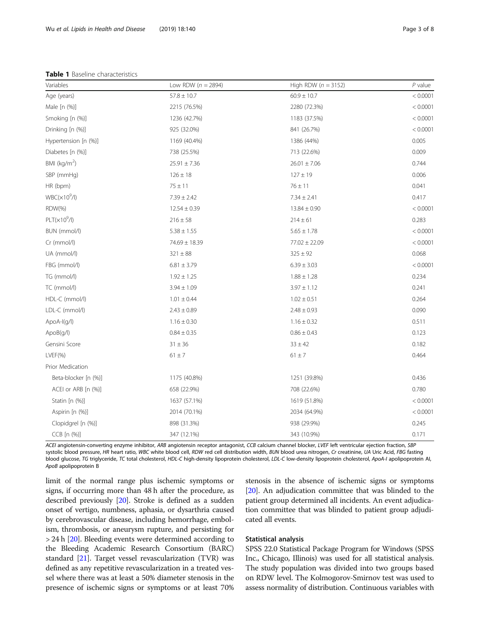<span id="page-2-0"></span>Table 1 Baseline characteristics

| Variables            | Low RDW ( $n = 2894$ ) | High RDW ( $n = 3152$ ) | $P$ value |
|----------------------|------------------------|-------------------------|-----------|
| Age (years)          | $57.8 \pm 10.7$        | $60.9 \pm 10.7$         | < 0.0001  |
| Male [n (%)]         | 2215 (76.5%)           | 2280 (72.3%)            | < 0.0001  |
| Smoking [n (%)]      | 1236 (42.7%)           | 1183 (37.5%)            | < 0.0001  |
| Drinking [n (%)]     | 925 (32.0%)            | 841 (26.7%)             | < 0.0001  |
| Hypertension [n (%)] | 1169 (40.4%)           | 1386 (44%)              | 0.005     |
| Diabetes [n (%)]     | 738 (25.5%)            | 713 (22.6%)             | 0.009     |
| BMI $(kq/m2)$        | $25.91 \pm 7.36$       | $26.01 \pm 7.06$        | 0.744     |
| SBP (mmHg)           | $126 \pm 18$           | $127 \pm 19$            | 0.006     |
| HR (bpm)             | $75 \pm 11$            | $76 \pm 11$             | 0.041     |
| $WBC(x10^9/l)$       | $7.39 \pm 2.42$        | $7.34 \pm 2.41$         | 0.417     |
| RDW(%)               | $12.54 \pm 0.39$       | $13.84 \pm 0.90$        | < 0.0001  |
| $PLT(x10^9/l)$       | $216 \pm 58$           | $214 \pm 61$            | 0.283     |
| BUN (mmol/l)         | $5.38 \pm 1.55$        | $5.65 \pm 1.78$         | < 0.0001  |
| Cr (mmol/l)          | 74.69 ± 18.39          | $77.02 \pm 22.09$       | < 0.0001  |
| UA (mmol/l)          | $321 \pm 88$           | $325 \pm 92$            | 0.068     |
| FBG (mmol/l)         | $6.81 \pm 3.79$        | $6.39 \pm 3.03$         | < 0.0001  |
| TG (mmol/l)          | $1.92 \pm 1.25$        | $1.88 \pm 1.28$         | 0.234     |
| TC (mmol/l)          | $3.94 \pm 1.09$        | $3.97 \pm 1.12$         | 0.241     |
| HDL-C (mmol/l)       | $1.01 \pm 0.44$        | $1.02 \pm 0.51$         | 0.264     |
| LDL-C (mmol/l)       | $2.43 \pm 0.89$        | $2.48 \pm 0.93$         | 0.090     |
| ApoA-I(g/l)          | $1.16 \pm 0.30$        | $1.16 \pm 0.32$         | 0.511     |
| ApoB(q/l)            | $0.84 \pm 0.35$        | $0.86 \pm 0.43$         | 0.123     |
| Gensini Score        | $31 \pm 36$            | $33 \pm 42$             | 0.182     |
| $LVEF(\% )$          | $61 \pm 7$             | $61 \pm 7$              | 0.464     |
| Prior Medication     |                        |                         |           |
| Beta-blocker [n (%)] | 1175 (40.8%)           | 1251 (39.8%)            | 0.436     |
| ACEI or ARB [n (%)]  | 658 (22.9%)            | 708 (22.6%)             | 0.780     |
| Statin [n (%)]       | 1637 (57.1%)           | 1619 (51.8%)            | < 0.0001  |
| Aspirin [n (%)]      | 2014 (70.1%)           | 2034 (64.9%)            | < 0.0001  |
| Clopidgrel [n (%)]   | 898 (31.3%)            | 938 (29.9%)             | 0.245     |
| CCB [n (%)]          | 347 (12.1%)            | 343 (10.9%)             | 0.171     |

ACEI angiotensin-converting enzyme inhibitor, ARB angiotensin receptor antagonist, CCB calcium channel blocker, LVEF left ventricular ejection fraction, SBP systolic blood pressure, HR heart ratio, WBC white blood cell, RDW red cell distribution width, BUN blood urea nitrogen, Cr creatinine, UA Uric Acid, FBG fasting blood glucose, TG triglyceride, TC total cholesterol, HDL-C high-density lipoprotein cholesterol, LDL-C low-density lipoprotein cholesterol, ApoA-I apolipoprotein AI, ApoB apolipoprotein B

limit of the normal range plus ischemic symptoms or signs, if occurring more than 48 h after the procedure, as described previously [\[20\]](#page-7-0). Stroke is defined as a sudden onset of vertigo, numbness, aphasia, or dysarthria caused by cerebrovascular disease, including hemorrhage, embolism, thrombosis, or aneurysm rupture, and persisting for > 24 h [[20](#page-7-0)]. Bleeding events were determined according to the Bleeding Academic Research Consortium (BARC) standard [[21](#page-7-0)]. Target vessel revascularization (TVR) was defined as any repetitive revascularization in a treated vessel where there was at least a 50% diameter stenosis in the presence of ischemic signs or symptoms or at least 70% stenosis in the absence of ischemic signs or symptoms [[20](#page-7-0)]. An adjudication committee that was blinded to the patient group determined all incidents. An event adjudication committee that was blinded to patient group adjudicated all events.

# Statistical analysis

SPSS 22.0 Statistical Package Program for Windows (SPSS Inc., Chicago, Illinois) was used for all statistical analysis. The study population was divided into two groups based on RDW level. The Kolmogorov-Smirnov test was used to assess normality of distribution. Continuous variables with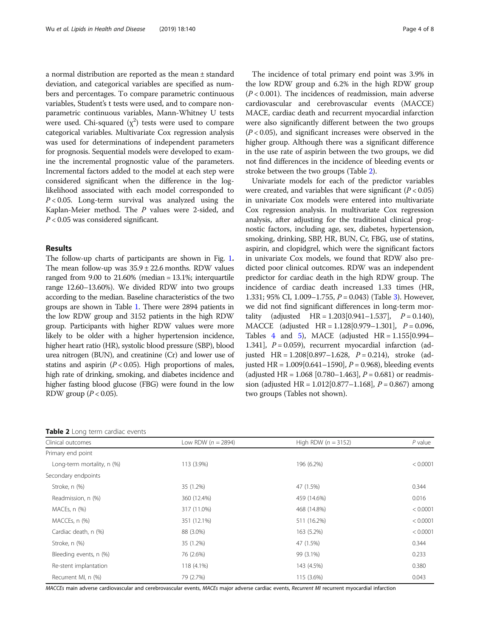a normal distribution are reported as the mean ± standard deviation, and categorical variables are specified as numbers and percentages. To compare parametric continuous variables, Student's t tests were used, and to compare nonparametric continuous variables, Mann-Whitney U tests were used. Chi-squared  $(\chi^2)$  tests were used to compare categorical variables. Multivariate Cox regression analysis was used for determinations of independent parameters for prognosis. Sequential models were developed to examine the incremental prognostic value of the parameters. Incremental factors added to the model at each step were considered significant when the difference in the loglikelihood associated with each model corresponded to  $P < 0.05$ . Long-term survival was analyzed using the Kaplan-Meier method. The P values were 2-sided, and  $P < 0.05$  was considered significant.

### Results

The follow-up charts of participants are shown in Fig. [1](#page-1-0). The mean follow-up was  $35.9 \pm 22.6$  months. RDW values ranged from 9.00 to 21.60% (median = 13.1%; interquartile range 12.60–13.60%). We divided RDW into two groups according to the median. Baseline characteristics of the two groups are shown in Table [1.](#page-2-0) There were 2894 patients in the low RDW group and 3152 patients in the high RDW group. Participants with higher RDW values were more likely to be older with a higher hypertension incidence, higher heart ratio (HR), systolic blood pressure (SBP), blood urea nitrogen (BUN), and creatinine (Cr) and lower use of statins and aspirin  $(P < 0.05)$ . High proportions of males, high rate of drinking, smoking, and diabetes incidence and higher fasting blood glucose (FBG) were found in the low RDW group ( $P < 0.05$ ).

| Table 2 Long term cardiac events |  |  |  |
|----------------------------------|--|--|--|
|----------------------------------|--|--|--|

The incidence of total primary end point was 3.9% in the low RDW group and 6.2% in the high RDW group  $(P < 0.001)$ . The incidences of readmission, main adverse cardiovascular and cerebrovascular events (MACCE) MACE, cardiac death and recurrent myocardial infarction were also significantly different between the two groups  $(P < 0.05)$ , and significant increases were observed in the higher group. Although there was a significant difference in the use rate of aspirin between the two groups, we did not find differences in the incidence of bleeding events or stroke between the two groups (Table 2).

Univariate models for each of the predictor variables were created, and variables that were significant  $(P < 0.05)$ in univariate Cox models were entered into multivariate Cox regression analysis. In multivariate Cox regression analysis, after adjusting for the traditional clinical prognostic factors, including age, sex, diabetes, hypertension, smoking, drinking, SBP, HR, BUN, Cr, FBG, use of statins, aspirin, and clopidgrel, which were the significant factors in univariate Cox models, we found that RDW also predicted poor clinical outcomes. RDW was an independent predictor for cardiac death in the high RDW group. The incidence of cardiac death increased 1.33 times (HR, 1.[3](#page-4-0)31; 95% CI, 1.009–1.755,  $P = 0.043$ ) (Table 3). However, we did not find significant differences in long-term mortality (adjusted  $HR = 1.203[0.941 - 1.537],$   $P = 0.140$ ), MACCE (adjusted  $HR = 1.128[0.979 - 1.301]$ ,  $P = 0.096$ , Tables [4](#page-4-0) and [5\)](#page-4-0), MACE (adjusted  $HR = 1.155[0.994 -$ 1.341],  $P = 0.059$ , recurrent myocardial infarction (adjusted HR =  $1.208[0.897 - 1.628, P = 0.214)$ , stroke (adjusted HR =  $1.009[0.641 - 1590]$ ,  $P = 0.968$ ), bleeding events (adjusted HR =  $1.068$  [0.780–1.463],  $P = 0.681$ ) or readmission (adjusted HR =  $1.012[0.877 - 1.168]$ ,  $P = 0.867$ ) among two groups (Tables not shown).

| Clinical outcomes          | Low RDW ( $n = 2894$ ) | High RDW ( $n = 3152$ ) | $P$ value |
|----------------------------|------------------------|-------------------------|-----------|
| Primary end point          |                        |                         |           |
| Long-term mortality, n (%) | 113 (3.9%)             | 196 (6.2%)              | < 0.0001  |
| Secondary endpoints        |                        |                         |           |
| Stroke, n (%)              | 35 (1.2%)              | 47 (1.5%)               | 0.344     |
| Readmission, n (%)         | 360 (12.4%)            | 459 (14.6%)             | 0.016     |
| $MACEs, n$ $(\%)$          | 317 (11.0%)            | 468 (14.8%)             | < 0.0001  |
| MACCEs, n (%)              | 351 (12.1%)            | 511 (16.2%)             | < 0.0001  |
| Cardiac death, n (%)       | 88 (3.0%)              | 163 (5.2%)              | < 0.0001  |
| Stroke, n (%)              | 35 (1.2%)              | 47 (1.5%)               | 0.344     |
| Bleeding events, n (%)     | 76 (2.6%)              | 99 (3.1%)               | 0.233     |
| Re-stent implantation      | 118 (4.1%)             | 143 (4.5%)              | 0.380     |
| Recurrent MI, n (%)        | 79 (2.7%)              | 115 (3.6%)              | 0.043     |

MACCEs main adverse cardiovascular and cerebrovascular events, MACEs major adverse cardiac events, Recurrent MI recurrent myocardial infarction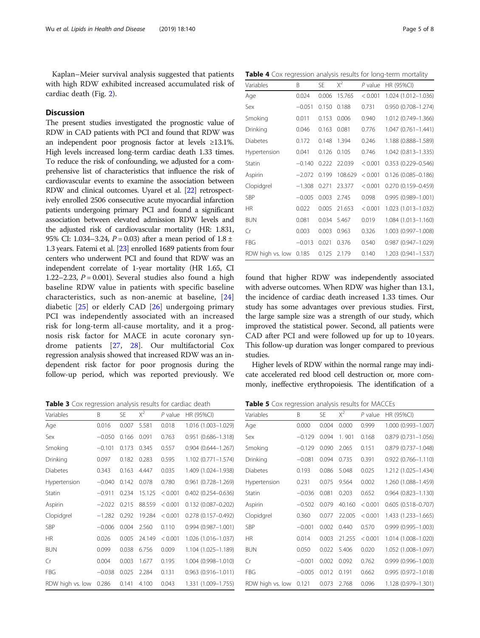<span id="page-4-0"></span>Kaplan–Meier survival analysis suggested that patients with high RDW exhibited increased accumulated risk of cardiac death (Fig. [2\)](#page-5-0).

# **Discussion**

The present studies investigated the prognostic value of RDW in CAD patients with PCI and found that RDW was an independent poor prognosis factor at levels ≥13.1%. High levels increased long-term cardiac death 1.33 times. To reduce the risk of confounding, we adjusted for a comprehensive list of characteristics that influence the risk of cardiovascular events to examine the association between RDW and clinical outcomes. Uyarel et al. [[22](#page-7-0)] retrospectively enrolled 2506 consecutive acute myocardial infarction patients undergoing primary PCI and found a significant association between elevated admission RDW levels and the adjusted risk of cardiovascular mortality (HR: 1.831, 95% CI: 1.034–3.24,  $P = 0.03$ ) after a mean period of 1.8 ± 1.3 years. Fatemi et al. [[23](#page-7-0)] enrolled 1689 patients from four centers who underwent PCI and found that RDW was an independent correlate of 1-year mortality (HR 1.65, CI 1.22–2.23,  $P = 0.001$ ). Several studies also found a high baseline RDW value in patients with specific baseline characteristics, such as non-anemic at baseline, [\[24](#page-7-0)] diabetic [[25\]](#page-7-0) or elderly CAD [[26\]](#page-7-0) undergoing primary PCI was independently associated with an increased risk for long-term all-cause mortality, and it a prognosis risk factor for MACE in acute coronary syndrome patients [[27,](#page-7-0) [28\]](#page-7-0). Our multifactorial Cox regression analysis showed that increased RDW was an independent risk factor for poor prognosis during the follow-up period, which was reported previously. We

Table 3 Cox regression analysis results for cardiac death

| Variables        | B        | <b>SE</b> | $X^2$  | $P$ value | HR (95%CI)                |
|------------------|----------|-----------|--------|-----------|---------------------------|
| Age              | 0.016    | 0.007     | 5.581  | 0.018     | 1.016 (1.003-1.029)       |
| Sex              | $-0.050$ | 0.166     | 0.091  | 0.763     | $0.951$ $(0.686 - 1.318)$ |
| Smoking          | $-0.101$ | 0.173     | 0.345  | 0.557     | $0.904$ $(0.644 - 1.267)$ |
| Drinking         | 0.097    | 0.182     | 0.283  | 0.595     | 1.102 (0.771-1.574)       |
| <b>Diabetes</b>  | 0.343    | 0.163     | 4.447  | 0.035     | 1.409 (1.024-1.938)       |
| Hypertension     | $-0.040$ | 0.142     | 0.078  | 0.780     | 0.961 (0.728-1.269)       |
| Statin           | $-0.911$ | 0.234     | 15.125 | < 0.001   | $0.402$ (0.254-0.636)     |
| Aspirin          | $-2.022$ | 0.215     | 88.559 | < 0.001   | $0.132(0.087 - 0.202)$    |
| Clopidgrel       | $-1.282$ | 0.292     | 19.284 | < 0.001   | $0.278(0.157 - 0.492)$    |
| <b>SBP</b>       | $-0.006$ | 0.004     | 2.560  | 0.110     | $0.994(0.987 - 1.001)$    |
| <b>HR</b>        | 0.026    | 0.005     | 24.149 | < 0.001   | 1.026 (1.016-1.037)       |
| <b>BUN</b>       | 0.099    | 0.038     | 6.756  | 0.009     | 1.104 (1.025-1.189)       |
| Cr               | 0.004    | 0.003     | 1.677  | 0.195     | 1.004 (0.998-1.010)       |
| <b>FBG</b>       | $-0.038$ | 0.025     | 2.284  | 0.131     | $0.963(0.916 - 1.011)$    |
| RDW high vs. low | 0.286    | 0.141     | 4.100  | 0.043     | 1.331 (1.009-1.755)       |

Table 4 Cox regression analysis results for long-term mortality

| Variables        | B        | <b>SE</b> | $X^2$   | $P$ value | HR (95%CI)             |
|------------------|----------|-----------|---------|-----------|------------------------|
| Age              | 0.024    | 0.006     | 15.765  | < 0.001   | 1.024 (1.012-1.036)    |
| Sex              | $-0.051$ | 0.150     | 0.188   | 0.731     | 0.950 (0.708-1.274)    |
| Smoking          | 0.011    | 0.153     | 0.006   | 0.940     | 1.012 (0.749-1.366)    |
| Drinking         | 0.046    | 0.163     | 0.081   | 0.776     | $1.047(0.761 - 1.441)$ |
| <b>Diabetes</b>  | 0.172    | 0.148     | 1.394   | 0.246     | 1.188 (0.888-1.589)    |
| Hypertension     | 0.041    | 0.126     | 0.105   | 0.746     | 1.042 (0.813-1.335)    |
| Statin           | $-0.140$ | 0.222     | 22.039  | < 0.001   | $0.353(0.229 - 0.546)$ |
| Aspirin          | $-2.072$ | 0.199     | 108.629 | < 0.001   | $0.126(0.085 - 0.186)$ |
| Clopidgrel       | $-1.308$ | 0.271     | 23.377  | < 0.001   | $0.270(0.159 - 0.459)$ |
| <b>SBP</b>       | $-0.005$ | 0.003     | 2.745   | 0.098     | $0.995(0.989 - 1.001)$ |
| HR.              | 0.022    | 0.005     | 21.653  | < 0.001   | 1.023 (1.013-1.032)    |
| <b>BUN</b>       | 0.081    | 0.034     | 5.467   | 0.019     | 1.084 (1.013-1.160)    |
| Cr               | 0.003    | 0.003     | 0.963   | 0.326     | 1.003 (0.997-1.008)    |
| FBG              | $-0.013$ | 0.021     | 0.376   | 0.540     | $0.987(0.947 - 1.029)$ |
| RDW high vs. low | 0.185    | 0.125     | 2.179   | 0.140     | 1.203 (0.941-1.537)    |

found that higher RDW was independently associated with adverse outcomes. When RDW was higher than 13.1, the incidence of cardiac death increased 1.33 times. Our study has some advantages over previous studies. First, the large sample size was a strength of our study, which improved the statistical power. Second, all patients were CAD after PCI and were followed up for up to 10 years. This follow-up duration was longer compared to previous studies.

Higher levels of RDW within the normal range may indicate accelerated red blood cell destruction or, more commonly, ineffective erythropoiesis. The identification of a

Table 5 Cox regression analysis results for MACCEs

| Variables        | B        | <b>SE</b> | $X^2$  | $P$ value | HR (95%CI)                |
|------------------|----------|-----------|--------|-----------|---------------------------|
| Age              | 0.000    | 0.004     | 0.000  | 0.999     | 1.000 (0.993-1.007)       |
| Sex              | $-0.129$ | 0.094     | 1.901  | 0.168     | 0.879 (0.731-1.056)       |
| Smoking          | $-0.129$ | 0.090     | 2.065  | 0.151     | $0.879(0.737 - 1.048)$    |
| Drinking         | $-0.081$ | 0.094     | 0.735  | 0.391     | $0.922(0.766 - 1.110)$    |
| Diabetes         | 0.193    | 0.086     | 5.048  | 0.025     | 1.212 (1.025-1.434)       |
| Hypertension     | 0.231    | 0.075     | 9.564  | 0.002     | 1.260 (1.088-1.459)       |
| Statin           | $-0.036$ | 0.081     | 0.203  | 0.652     | $0.964$ $(0.823 - 1.130)$ |
| Aspirin          | $-0.502$ | 0.079     | 40.160 | < 0.001   | $0.605(0.518 - 0.707)$    |
| Clopidgrel       | 0.360    | 0.077     | 22.005 | < 0.001   | 1.433 (1.233-1.665)       |
| SBP              | $-0.001$ | 0.002     | 0.440  | 0.570     | 0.999 (0.995-1.003)       |
| <b>HR</b>        | 0.014    | 0.003     | 21.255 | < 0.001   | 1.014 (1.008-1.020)       |
| <b>BUN</b>       | 0.050    | 0.022     | 5.406  | 0.020     | 1.052 (1.008-1.097)       |
| Cr               | $-0.001$ | 0.002     | 0.092  | 0.762     | $0.999(0.996 - 1.003)$    |
| FBG              | $-0.005$ | 0.012     | 0.191  | 0.662     | $0.995(0.972 - 1.018)$    |
| RDW high vs. low | 0.121    | 0.073     | 2.768  | 0.096     | 1.128 (0.979-1.301)       |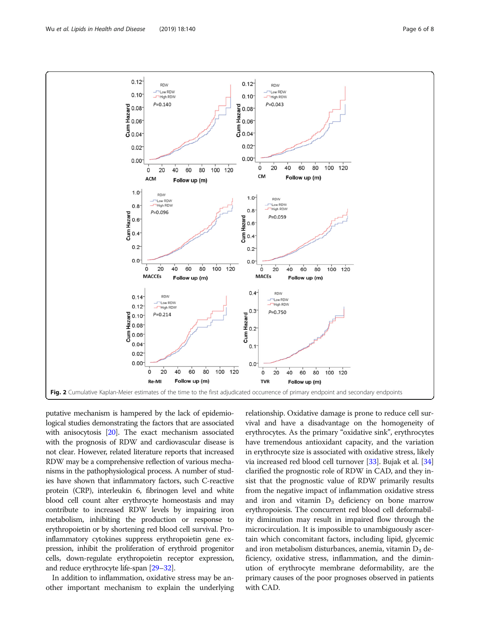<span id="page-5-0"></span>

putative mechanism is hampered by the lack of epidemiological studies demonstrating the factors that are associated with anisocytosis [\[20](#page-7-0)]. The exact mechanism associated with the prognosis of RDW and cardiovascular disease is not clear. However, related literature reports that increased RDW may be a comprehensive reflection of various mechanisms in the pathophysiological process. A number of studies have shown that inflammatory factors, such C-reactive protein (CRP), interleukin 6, fibrinogen level and white blood cell count alter erythrocyte homeostasis and may contribute to increased RDW levels by impairing iron metabolism, inhibiting the production or response to erythropoietin or by shortening red blood cell survival. Proinflammatory cytokines suppress erythropoietin gene expression, inhibit the proliferation of erythroid progenitor cells, down-regulate erythropoietin receptor expression, and reduce erythrocyte life-span [\[29](#page-7-0)–[32\]](#page-7-0).

In addition to inflammation, oxidative stress may be another important mechanism to explain the underlying

relationship. Oxidative damage is prone to reduce cell survival and have a disadvantage on the homogeneity of erythrocytes. As the primary "oxidative sink", erythrocytes have tremendous antioxidant capacity, and the variation in erythrocyte size is associated with oxidative stress, likely via increased red blood cell turnover [[33](#page-7-0)]. Bujak et al. [[34](#page-7-0)] clarified the prognostic role of RDW in CAD, and they insist that the prognostic value of RDW primarily results from the negative impact of inflammation oxidative stress and iron and vitamin  $D_3$  deficiency on bone marrow erythropoiesis. The concurrent red blood cell deformability diminution may result in impaired flow through the microcirculation. It is impossible to unambiguously ascertain which concomitant factors, including lipid, glycemic and iron metabolism disturbances, anemia, vitamin  $D_3$  deficiency, oxidative stress, inflammation, and the diminution of erythrocyte membrane deformability, are the primary causes of the poor prognoses observed in patients with CAD.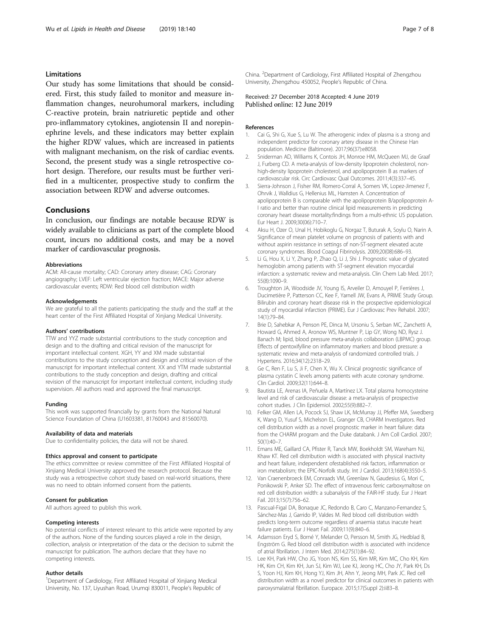# <span id="page-6-0"></span>Limitations

Our study has some limitations that should be considered. First, this study failed to monitor and measure inflammation changes, neurohumoral markers, including C-reactive protein, brain natriuretic peptide and other pro-inflammatory cytokines, angiotensin II and norepinephrine levels, and these indicators may better explain the higher RDW values, which are increased in patients with malignant mechanism, on the risk of cardiac events. Second, the present study was a single retrospective cohort design. Therefore, our results must be further verified in a multicenter, prospective study to confirm the association between RDW and adverse outcomes.

# Conclusions

In conclusion, our findings are notable because RDW is widely available to clinicians as part of the complete blood count, incurs no additional costs, and may be a novel marker of cardiovascular prognosis.

#### Abbreviations

ACM: All-cause mortality; CAD: Coronary artery disease; CAG: Coronary angiography; LVEF: Left ventricular ejection fraction; MACE: Major adverse cardiovascular events; RDW: Red blood cell distribution width

#### Acknowledgements

We are grateful to all the patients participating the study and the staff at the heart center of the First Affiliated Hospital of Xinjiang Medical University.

#### Authors' contributions

TTW and YYZ made substantial contributions to the study conception and design and to the drafting and critical revision of the manuscript for important intellectual content. XGH, YY and XM made substantial contributions to the study conception and design and critical revision of the manuscript for important intellectual content. XX and YTM made substantial contributions to the study conception and design, drafting and critical revision of the manuscript for important intellectual content, including study supervision. All authors read and approved the final manuscript.

#### Funding

This work was supported financially by grants from the National Natural Science Foundation of China (U1603381, 81760043 and 81560070).

#### Availability of data and materials

Due to confidentiality policies, the data will not be shared.

#### Ethics approval and consent to participate

The ethics committee or review committee of the First Affiliated Hospital of Xinjiang Medical University approved the research protocol. Because the study was a retrospective cohort study based on real-world situations, there was no need to obtain informed consent from the patients.

#### Consent for publication

All authors agreed to publish this work.

#### Competing interests

No potential conflicts of interest relevant to this article were reported by any of the authors. None of the funding sources played a role in the design, collection, analysis or interpretation of the data or the decision to submit the manuscript for publication. The authors declare that they have no competing interests.

#### Author details

<sup>1</sup>Department of Cardiology, First Affiliated Hospital of Xinjiang Medical University, No. 137, Liyushan Road, Urumqi 830011, People's Republic of

China. <sup>2</sup> Department of Cardiology, First Affiliated Hospital of Zhengzhou University, Zhengzhou 450052, People's Republic of China.

## Received: 27 December 2018 Accepted: 4 June 2019 Published online: 12 June 2019

#### References

- 1. Cai G, Shi G, Xue S, Lu W. The atherogenic index of plasma is a strong and independent predictor for coronary artery disease in the Chinese Han population. Medicine (Baltimore). 2017;96(37):e8058.
- 2. Sniderman AD, Williams K, Contois JH, Monroe HM, McQueen MJ, de Graaf J, Furberg CD. A meta-analysis of low-density lipoprotein cholesterol, nonhigh-density lipoprotein cholesterol, and apolipoprotein B as markers of cardiovascular risk. Circ Cardiovasc Qual Outcomes. 2011;4(3):337–45.
- 3. Sierra-Johnson J, Fisher RM, Romero-Corral A, Somers VK, Lopez-Jimenez F, Ohrvik J, Walldius G, Hellenius ML, Hamsten A. Concentration of apolipoprotein B is comparable with the apolipoprotein B/apolipoprotein A-I ratio and better than routine clinical lipid measurements in predicting coronary heart disease mortality:findings from a multi-ethnic US population. Eur Heart J. 2009;30(06):710–7.
- 4. Aksu H, Ozer O, Unal H, Hobikoglu G, Norgaz T, Buturak A, Soylu O, Narin A. Significance of mean platelet volume on prognosis of patients with and without aspirin resistance in settings of non-ST-segment elevated acute coronary syndromes. Blood Coagul Fibrinolysis. 2009;20(08):686–93.
- Li G, Hou X, Li Y, Zhang P, Zhao Q, Li J, Shi J. Prognostic value of glycated hemoglobin among patients with ST-segment elevation myocardial infarction: a systematic review and meta-analysis. Clin Chem Lab Med. 2017; 55(8):1090–9.
- 6. Troughton JA, Woodside JV, Young IS, Arveiler D, Amouyel P, Ferrières J, Ducimetière P, Patterson CC, Kee F, Yarnell JW, Evans A, PRIME Study Group. Bilirubin and coronary heart disease risk in the prospective epidemiological study of myocardial infarction (PRIME). Eur J Cardiovasc Prev Rehabil. 2007; 14(1):79–84.
- 7. Brie D, Sahebkar A, Penson PE, Dinca M, Ursoniu S, Serban MC, Zanchetti A, Howard G, Ahmed A, Aronow WS, Muntner P, Lip GY, Wong ND, Rysz J. Banach M; lipid, blood pressure meta-analysis collaboration (LBPMC) group. Effects of pentoxifylline on inflammatory markers and blood pressure: a systematic review and meta-analysis of randomized controlled trials. J Hypertens. 2016;34(12):2318–29.
- 8. Ge C, Ren F, Lu S, Ji F, Chen X, Wu X. Clinical prognostic significance of plasma cystatin C levels among patients with acute coronary syndrome. Clin Cardiol. 2009;32(11):644–8.
- 9. Bautista LE, Arenas IA, Peñuela A, Martínez LX. Total plasma homocysteine level and risk of cardiovascular disease: a meta-analysis of prospective cohort studies. J Clin Epidemiol. 2002;55(9):882–7.
- 10. Felker GM, Allen LA, Pocock SJ, Shaw LK, McMurray JJ, Pfeffer MA, Swedberg K, Wang D, Yusuf S, Michelson EL, Granger CB, CHARM Investigators. Red cell distribution width as a novel prognostic marker in heart failure: data from the CHARM program and the Duke databank. J Am Coll Cardiol. 2007; 50(1):40–7.
- 11. Emans ME, Gaillard CA, Pfister R, Tanck MW, Boekholdt SM, Wareham NJ, Khaw KT. Red cell distribution width is associated with physical inactivity and heart failure, independent ofestablished risk factors, inflammation or iron metabolism; the EPIC-Norfolk study. Int J Cardiol. 2013;168(4):3550–5.
- 12. Van Craenenbroeck EM, Conraads VM, Greenlaw N, Gaudesius G, Mori C, Ponikowski P, Anker SD. The effect of intravenous ferric carboxymaltose on red cell distribution width: a subanalysis of the FAIR-HF study. Eur J Heart Fail. 2013;15(7):756–62.
- 13. Pascual-Figal DA, Bonaque JC, Redondo B, Caro C, Manzano-Fernandez S, Sánchez-Mas J, Garrido IP, Valdes M. Red blood cell distribution width predicts long-term outcome regardless of anaemia status inacute heart failure patients. Eur J Heart Fail. 2009;11(9):840–6.
- 14. Adamsson Eryd S, Borné Y, Melander O, Persson M, Smith JG, Hedblad B, Engström G. Red blood cell distribution width is associated with incidence of atrial fibrillation. J Intern Med. 2014;275(1):84–92.
- 15. Lee KH, Park HW, Cho JG, Yoon NS, Kim SS, Kim MR, Kim MC, Cho KH, Kim HK, Kim CH, Kim KH, Jun SJ, Kim WJ, Lee KJ, Jeong HC, Cho JY, Park KH, Ds S, Yoon HJ, Kim KH, Hong YJ, Kim JH, Ahn Y, Jeong MH, Park JC. Red cell distribution width as a novel predictor for clinical outcomes in patients with paroxysmalatrial fibrillation. Europace. 2015;17(Suppl 2):ii83–8.